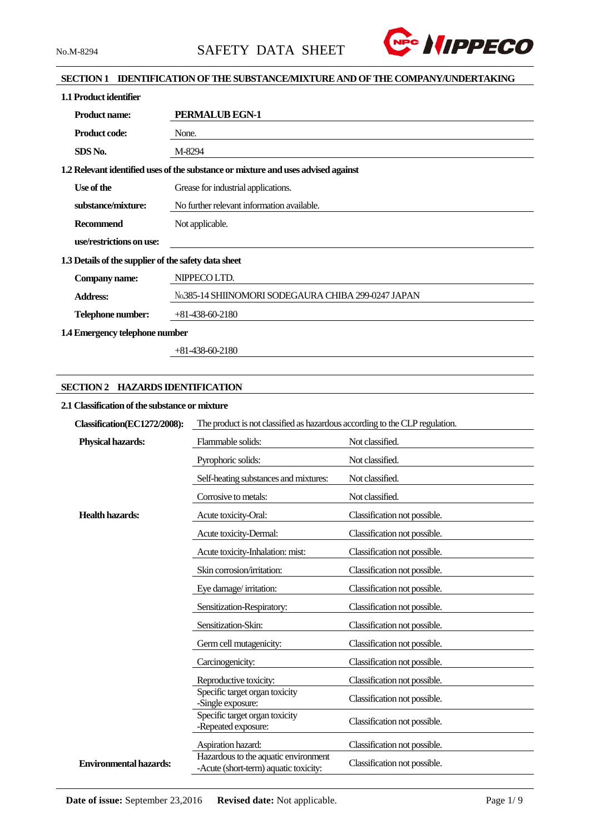

### **SECTION 1 IDENTIFICATION OF THE SUBSTANCE/MIXTURE AND OF THE COMPANY/UNDERTAKING**

| 1.1 Product identifier                               |                                                                                   |  |  |  |
|------------------------------------------------------|-----------------------------------------------------------------------------------|--|--|--|
| <b>Product name:</b>                                 | <b>PERMALUB EGN-1</b>                                                             |  |  |  |
| <b>Product code:</b>                                 | None.                                                                             |  |  |  |
| SDS No.                                              | M-8294                                                                            |  |  |  |
|                                                      | 1.2 Relevant identified uses of the substance or mixture and uses advised against |  |  |  |
| Use of the                                           | Grease for industrial applications.                                               |  |  |  |
| substance/mixture:                                   | No further relevant information available.                                        |  |  |  |
| Recommend                                            | Not applicable.                                                                   |  |  |  |
| use/restrictions on use:                             |                                                                                   |  |  |  |
| 1.3 Details of the supplier of the safety data sheet |                                                                                   |  |  |  |
| Company name:                                        | NIPPECO LTD.                                                                      |  |  |  |
| <b>Address:</b>                                      | No.385-14 SHIINOMORI SODEGAURA CHIBA 299-0247 JAPAN                               |  |  |  |
| Telephone number:                                    | $+81-438-60-2180$                                                                 |  |  |  |
| 1.4 Emergency telephone number                       |                                                                                   |  |  |  |

+81-438-60-2180

### **SECTION 2 HAZARDS IDENTIFICATION**

#### **2.1 Classification of the substance or mixture**

| Classification(EC1272/2008):  | The product is not classified as hazardous according to the CLP regulation.   |                              |  |  |
|-------------------------------|-------------------------------------------------------------------------------|------------------------------|--|--|
| <b>Physical hazards:</b>      | Flammable solids:                                                             | Not classified.              |  |  |
|                               | Pyrophoric solids:                                                            | Not classified.              |  |  |
|                               | Self-heating substances and mixtures:                                         | Not classified.              |  |  |
|                               | Corrosive to metals:                                                          | Not classified.              |  |  |
| <b>Health hazards:</b>        | Acute toxicity-Oral:                                                          | Classification not possible. |  |  |
|                               | Acute toxicity-Dermal:                                                        | Classification not possible. |  |  |
|                               | Acute toxicity-Inhalation: mist:                                              | Classification not possible. |  |  |
|                               | Skin corrosion/irritation:                                                    | Classification not possible. |  |  |
|                               | Eye damage/irritation:                                                        | Classification not possible. |  |  |
|                               | Sensitization-Respiratory:                                                    | Classification not possible. |  |  |
|                               | Sensitization-Skin:                                                           | Classification not possible. |  |  |
|                               | Germ cell mutagenicity:                                                       | Classification not possible. |  |  |
|                               | Carcinogenicity:                                                              | Classification not possible. |  |  |
|                               | Reproductive toxicity:                                                        | Classification not possible. |  |  |
|                               | Specific target organ toxicity<br>-Single exposure:                           | Classification not possible. |  |  |
|                               | Specific target organ toxicity<br>-Repeated exposure:                         | Classification not possible. |  |  |
|                               | Aspiration hazard:                                                            | Classification not possible. |  |  |
| <b>Environmental hazards:</b> | Hazardous to the aquatic environment<br>-Acute (short-term) aquatic toxicity: | Classification not possible. |  |  |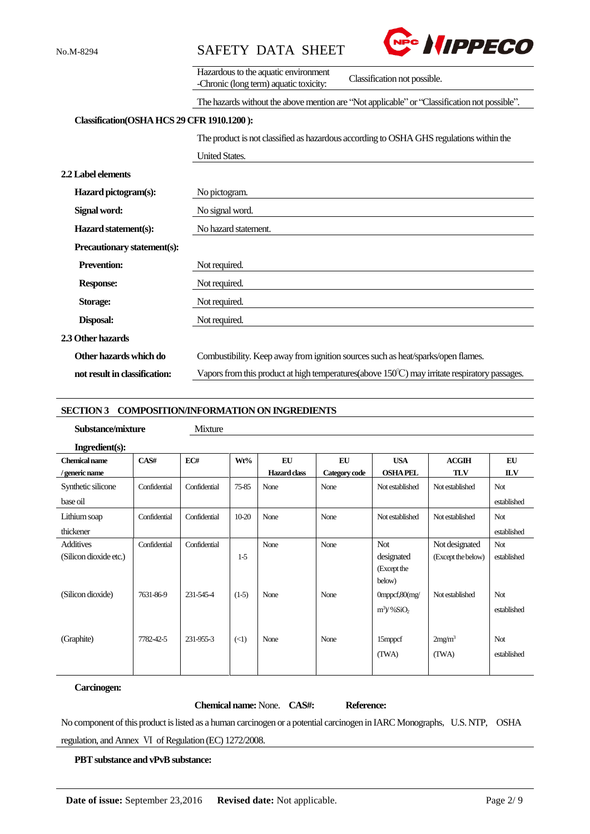



|                                             | Hazardous to the aquatic environment                                                                     |  |  |  |  |
|---------------------------------------------|----------------------------------------------------------------------------------------------------------|--|--|--|--|
|                                             | Classification not possible.<br>-Chronic (long term) aquatic toxicity:                                   |  |  |  |  |
|                                             | The hazards without the above mention are "Not applicable" or "Classification not possible".             |  |  |  |  |
| Classification (OSHA HCS 29 CFR 1910.1200): |                                                                                                          |  |  |  |  |
|                                             | The product is not classified as hazardous according to OSHA GHS regulations within the                  |  |  |  |  |
|                                             | <b>United States.</b>                                                                                    |  |  |  |  |
| <b>2.2 Label elements</b>                   |                                                                                                          |  |  |  |  |
| Hazard pictogram(s):                        | No pictogram.                                                                                            |  |  |  |  |
| Signal word:                                | No signal word.                                                                                          |  |  |  |  |
| Hazard statement(s):                        | No hazard statement.                                                                                     |  |  |  |  |
| Precautionary statement(s):                 |                                                                                                          |  |  |  |  |
| <b>Prevention:</b>                          | Not required.                                                                                            |  |  |  |  |
| <b>Response:</b>                            | Not required.                                                                                            |  |  |  |  |
| Storage:                                    | Not required.                                                                                            |  |  |  |  |
| <b>Disposal:</b>                            | Not required.                                                                                            |  |  |  |  |
| 2.3 Other hazards                           |                                                                                                          |  |  |  |  |
| Other hazards which do                      | Combustibility. Keep away from ignition sources such as heat/sparks/open flames.                         |  |  |  |  |
| not result in classification:               | Vapors from this product at high temperatures (above $150^{\circ}$ C) may irritate respiratory passages. |  |  |  |  |

#### **SECTION 3 COMPOSITION/INFORMATION ON INGREDIENTS**

**Substance/mixture** Mixture

| $\ddotsc$<br>.<br>. . | $\sim$ |
|-----------------------|--------|
|                       |        |
|                       |        |
|                       |        |

| Ingradient(s):         |              |              |            |                     |               |                           |                    |             |
|------------------------|--------------|--------------|------------|---------------------|---------------|---------------------------|--------------------|-------------|
| <b>Chemical name</b>   | CAS#         | EC#          | Wt%        | EU                  | EU            | <b>USA</b>                | ACGIII             | EU          |
| / generic name         |              |              |            | <b>Hazard class</b> | Category code | <b>OSHA PEL</b>           | <b>TLV</b>         | <b>ILV</b>  |
| Synthetic silicone     | Confidential | Confidential | 75-85      | None                | None          | Not established           | Not established    | Not         |
| base oil               |              |              |            |                     |               |                           |                    | established |
| Lithium soap           | Confidential | Confidential | $10 - 20$  | None                | None          | Not established           | Not established    | Not         |
| thickener              |              |              |            |                     |               |                           |                    | established |
| <b>Additives</b>       | Confidential | Confidential |            | None                | None          | <b>Not</b>                | Not designated     | Not         |
| (Silicon dioxide etc.) |              |              | $1-5$      |                     |               | designated                | (Except the below) | established |
|                        |              |              |            |                     |               | (Except the               |                    |             |
|                        |              |              |            |                     |               | below)                    |                    |             |
| (Silicon dioxide)      | 7631-86-9    | 231-545-4    | $(1-5)$    | None                | None          | $0$ mppcf, $80$ (mg/      | Not established    | Not         |
|                        |              |              |            |                     |               | $m^3$ / %SiO <sub>2</sub> |                    | established |
|                        |              |              |            |                     |               |                           |                    |             |
| (Graphite)             | 7782-42-5    | 231-955-3    | $(\leq 1)$ | None                | None          | 15mppcf                   | 2mg/m <sup>3</sup> | Not         |
|                        |              |              |            |                     |               | (TWA)                     | (TWA)              | established |
|                        |              |              |            |                     |               |                           |                    |             |

### **Carcinogen:**

**Chemical name:** None. **CAS#: Reference:**

No component of this product is listed as a human carcinogen or a potential carcinogen in IARC Monographs, U.S. NTP, OSHA regulation, and Annex Ⅵ of Regulation (EC) 1272/2008.

**PBT substance and vPvB substance:**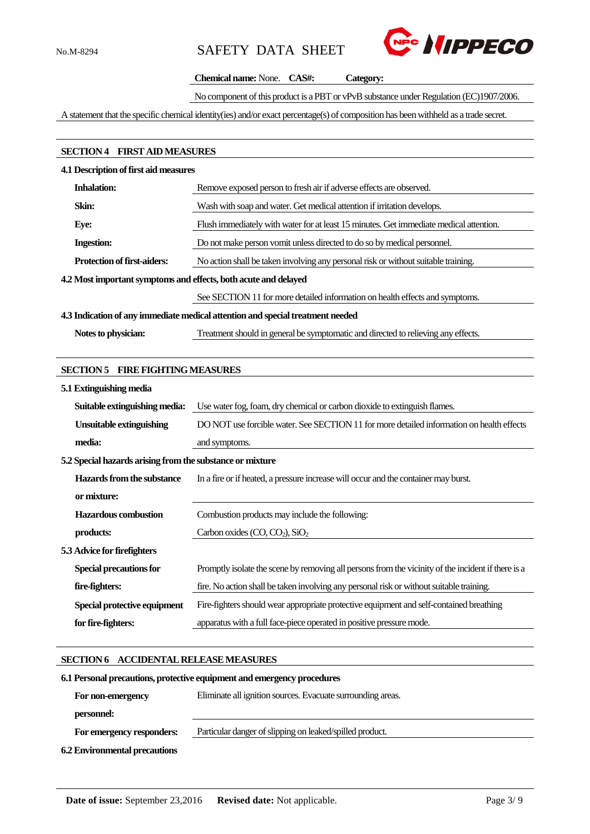

#### **Chemical name:** None. **CAS#: Category:**

No component of this product is a PBT or vPvB substance under Regulation (EC)1907/2006.

A statement that the specific chemical identity(ies) and/or exact percentage(s) of composition has been withheld as a trade secret.

## **SECTION 4 FIRST AIDMEASURES**

#### **4.1 Description of first aid measures**

| <b>Inhalation:</b>                                                             | Remove exposed person to fresh air if adverse effects are observed.                    |  |  |  |
|--------------------------------------------------------------------------------|----------------------------------------------------------------------------------------|--|--|--|
| Skin:                                                                          | Wash with soap and water. Get medical attention if irritation develops.                |  |  |  |
| Eye:                                                                           | Flush immediately with water for at least 15 minutes. Get immediate medical attention. |  |  |  |
| <b>Ingestion:</b>                                                              | Do not make person vomit unless directed to do so by medical personnel.                |  |  |  |
| <b>Protection of first-aiders:</b>                                             | No action shall be taken involving any personal risk or without suitable training.     |  |  |  |
| 4.2 Most important symptoms and effects, both acute and delayed                |                                                                                        |  |  |  |
|                                                                                | See SECTION 11 for more detailed information on health effects and symptoms.           |  |  |  |
| 4.3 Indication of any immediate medical attention and special treatment needed |                                                                                        |  |  |  |

**Notes to physician:** Treatment should in general be symptomatic and directed to relieving any effects.

#### **SECTION 5 FIRE FIGHTING MEASURES**

#### **5.1 Extinguishing media Suitable extinguishing media:** Use water fog, foam, dry chemical or carbon dioxide to extinguish flames. **Unsuitable extinguishing media:** DO NOT use forcible water. See SECTION 11 for more detailed information on health effects and symptoms. **5.2 Special hazards arising from the substance or mixture Hazards from the substance or mixture:** In a fire or if heated, a pressure increase will occur and the container may burst. **Hazardous combustion products:** Combustion products may include the following: Carbon oxides  $(CO, CO<sub>2</sub>)$ , SiO<sub>2</sub> **5.3 Advice for firefighters Special precautions for fire-fighters:** Promptly isolate the scene by removing all persons from the vicinity of the incident if there is a fire. No action shall be taken involving any personal risk or without suitable training.  **Special protective equipment for fire-fighters:** Fire-fighters should wear appropriate protective equipment and self-contained breathing apparatus with a full face-piece operated in positive pressure mode.

#### **SECTION 6 ACCIDENTAL RELEASE MEASURES**

## **6.1Personal precautions, protective equipment and emergency procedures For non-emergency personnel:** Eliminate all ignition sources. Evacuate surrounding areas.  **For emergency responders:** Particular danger of slipping on leaked/spilled product. **6.2 Environmental precautions**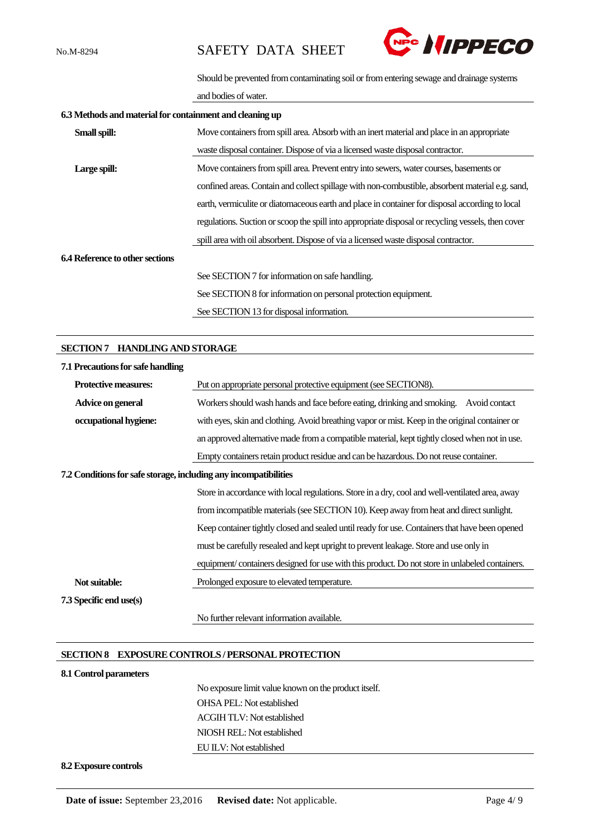

Should be prevented from contaminating soil or from entering sewage and drainage systems

and bodies of water.

| 6.3 Methods and material for containment and cleaning up |                                                                                                    |  |  |
|----------------------------------------------------------|----------------------------------------------------------------------------------------------------|--|--|
| Small spill:                                             | Move containers from spill area. Absorb with an inert material and place in an appropriate         |  |  |
|                                                          | waste disposal container. Dispose of via a licensed waste disposal contractor.                     |  |  |
| Large spill:                                             | Move containers from spill area. Prevent entry into sewers, water courses, basements or            |  |  |
|                                                          | confined areas. Contain and collect spillage with non-combustible, absorbent material e.g. sand,   |  |  |
|                                                          | earth, vermiculite or diatomaceous earth and place in container for disposal according to local    |  |  |
|                                                          | regulations. Suction or scoop the spill into appropriate disposal or recycling vessels, then cover |  |  |
|                                                          | spill area with oil absorbent. Dispose of via a licensed waste disposal contractor.                |  |  |
| <b>6.4 Reference to other sections</b>                   |                                                                                                    |  |  |
|                                                          | See SECTION 7 for information on safe handling.                                                    |  |  |
|                                                          | See SECTION 8 for information on personal protection equipment.                                    |  |  |
|                                                          | See SECTION 13 for disposal information.                                                           |  |  |

#### **SECTION 7 HANDLING AND STORAGE**

| 7.1 Precautions for safe handling                                |                                                                                                 |
|------------------------------------------------------------------|-------------------------------------------------------------------------------------------------|
| Protective measures:                                             | Put on appropriate personal protective equipment (see SECTION8).                                |
| Advice on general                                                | Workers should wash hands and face before eating, drinking and smoking.<br>Avoid contact        |
| occupational hygiene:                                            | with eyes, skin and clothing. Avoid breathing vapor or mist. Keep in the original container or  |
|                                                                  | an approved alternative made from a compatible material, kept tightly closed when not in use.   |
|                                                                  | Empty containers retain product residue and can be hazardous. Do not reuse container.           |
| 7.2 Conditions for safe storage, including any incompatibilities |                                                                                                 |
|                                                                  | Store in accordance with local regulations. Store in a dry, cool and well-ventilated area, away |
|                                                                  | from incompatible materials (see SECTION 10). Keep away from heat and direct sunlight.          |
|                                                                  | Keep container tightly closed and sealed until ready for use. Containers that have been opened  |
|                                                                  | must be carefully resealed and kept upright to prevent leakage. Store and use only in           |
|                                                                  | equipment/containers designed for use with this product. Do not store in unlabeled containers.  |
| Not suitable:                                                    | Prolonged exposure to elevated temperature.                                                     |
| 7.3 Specific end use(s)                                          |                                                                                                 |
|                                                                  | No further relevant information available.                                                      |

#### **SECTION 8 EXPOSURE CONTROLS / PERSONAL PROTECTION**

#### **8.1 Control parameters**

No exposure limit value known on the product itself. OHSA PEL: Not established ACGIH TLV: Not established NIOSH REL: Not established EU ILV: Not established

#### **8.2 Exposure controls**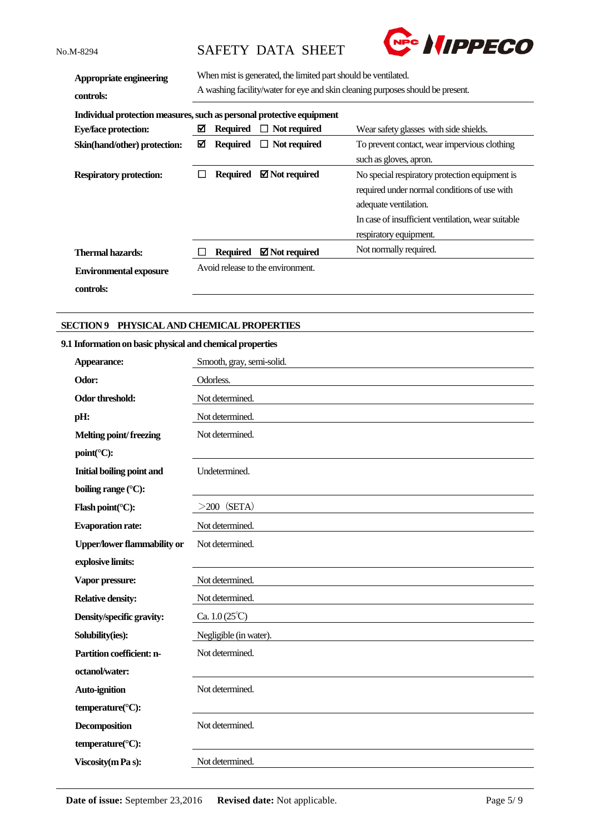

| Appropriate engineering<br>controls:                                  | When mist is generated, the limited part should be ventilated.<br>A washing facility/water for eye and skin cleaning purposes should be present. |                 |                                   |                                                    |
|-----------------------------------------------------------------------|--------------------------------------------------------------------------------------------------------------------------------------------------|-----------------|-----------------------------------|----------------------------------------------------|
| Individual protection measures, such as personal protective equipment |                                                                                                                                                  |                 |                                   |                                                    |
| <b>Eye/face protection:</b>                                           | ⊠                                                                                                                                                | <b>Required</b> | Not required<br>ப                 | Wear safety glasses with side shields.             |
| Skin(hand/other) protection:                                          | ☑<br><b>Required</b><br>$\Box$ Not required                                                                                                      |                 |                                   | To prevent contact, wear impervious clothing       |
|                                                                       |                                                                                                                                                  |                 |                                   | such as gloves, apron.                             |
| <b>Respiratory protection:</b>                                        |                                                                                                                                                  | <b>Required</b> | $\boxtimes$ Not required          | No special respiratory protection equipment is     |
|                                                                       |                                                                                                                                                  |                 |                                   | required under normal conditions of use with       |
|                                                                       |                                                                                                                                                  |                 |                                   | adequate ventilation.                              |
|                                                                       |                                                                                                                                                  |                 |                                   | In case of insufficient ventilation, wear suitable |
|                                                                       |                                                                                                                                                  |                 |                                   | respiratory equipment.                             |
| Thermal hazards:                                                      |                                                                                                                                                  | <b>Required</b> | $\boxtimes$ Not required          | Not normally required.                             |
| <b>Environmental exposure</b>                                         |                                                                                                                                                  |                 | Avoid release to the environment. |                                                    |
| controls:                                                             |                                                                                                                                                  |                 |                                   |                                                    |

### **SECTION 9 PHYSICAL AND CHEMICAL PROPERTIES**

### **9.1 Information on basic physical and chemical properties**

| Appearance:                        | Smooth, gray, semi-solid.     |
|------------------------------------|-------------------------------|
| Odor:                              | Odorless.                     |
| Odor threshold:                    | Not determined.               |
| pH:                                | Not determined.               |
| Melting point/freezing             | Not determined.               |
| point(°C):                         |                               |
| <b>Initial boiling point and</b>   | Undetermined.                 |
| boiling range (°C):                |                               |
| Flash point( $°C$ ):               | $>200$ (SETA)                 |
| <b>Evaporation rate:</b>           | Not determined.               |
| <b>Upper/lower flammability or</b> | Not determined.               |
| explosive limits:                  |                               |
| Vapor pressure:                    | Not determined.               |
| <b>Relative density:</b>           | Not determined.               |
| Density/specific gravity:          | Ca. $1.0(25^{\circ}\text{C})$ |
| Solubility(ies):                   | Negligible (in water).        |
| Partition coefficient: n-          | Not determined.               |
| octanol/water:                     |                               |
| <b>Auto-ignition</b>               | Not determined.               |
| temperature(°C):                   |                               |
| <b>Decomposition</b>               | Not determined.               |
| temperature(°C):                   |                               |
| Viscosity (m Pa s):                | Not determined.               |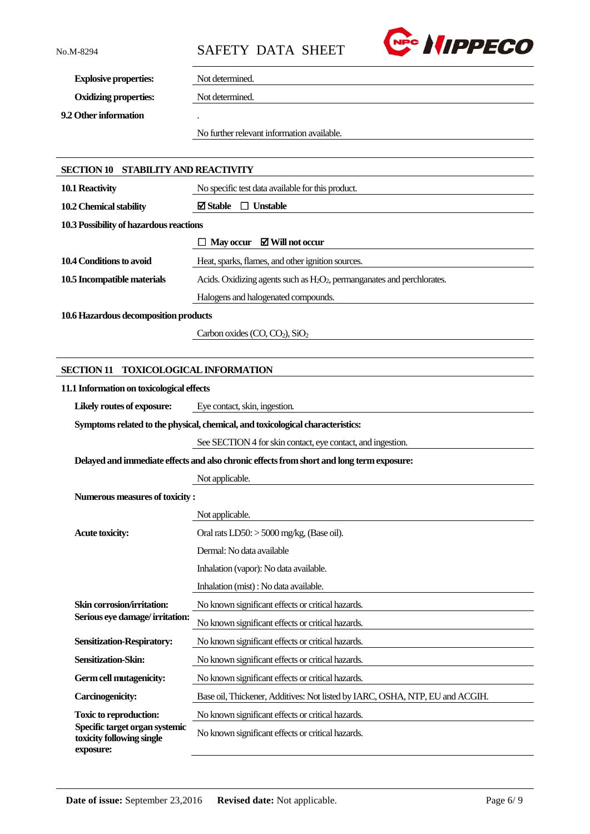

**Explosive properties:** Not determined.

**Oxidizing properties:** Not determined.

**9.2 Other information** .

No further relevant information available.

| SECTION 10 STABILITY AND REACTIVITY                                            |                                                                                           |  |  |  |  |
|--------------------------------------------------------------------------------|-------------------------------------------------------------------------------------------|--|--|--|--|
| 10.1 Reactivity                                                                | No specific test data available for this product.                                         |  |  |  |  |
| 10.2 Chemical stability                                                        | $\boxtimes$ Stable $\Box$ Unstable                                                        |  |  |  |  |
| 10.3 Possibility of hazardous reactions                                        |                                                                                           |  |  |  |  |
|                                                                                | $\boxtimes$ Will not occur<br><b>May occur</b>                                            |  |  |  |  |
| 10.4 Conditions to avoid                                                       | Heat, sparks, flames, and other ignition sources.                                         |  |  |  |  |
| 10.5 Incompatible materials                                                    | Acids. Oxidizing agents such as $H_2O_2$ , permanganates and perchlorates.                |  |  |  |  |
|                                                                                | Halogens and halogenated compounds.                                                       |  |  |  |  |
| 10.6 Hazardous decomposition products                                          |                                                                                           |  |  |  |  |
|                                                                                | Carbon oxides $(CO, CO2)$ , SiO <sub>2</sub>                                              |  |  |  |  |
|                                                                                |                                                                                           |  |  |  |  |
| <b>SECTION 11</b>                                                              | <b>TOXICOLOGICAL INFORMATION</b>                                                          |  |  |  |  |
| 11.1 Information on toxicological effects                                      |                                                                                           |  |  |  |  |
| Likely routes of exposure:                                                     | Eye contact, skin, ingestion.                                                             |  |  |  |  |
| Symptoms related to the physical, chemical, and toxicological characteristics: |                                                                                           |  |  |  |  |
|                                                                                | See SECTION 4 for skin contact, eye contact, and ingestion.                               |  |  |  |  |
|                                                                                | Delayed and immediate effects and also chronic effects from short and long term exposure: |  |  |  |  |
|                                                                                | Not applicable.                                                                           |  |  |  |  |
| Numerous measures of toxicity:                                                 |                                                                                           |  |  |  |  |
|                                                                                | Not applicable.                                                                           |  |  |  |  |
| <b>Acute toxicity:</b>                                                         | Oral rats LD50: > 5000 mg/kg, (Base oil).                                                 |  |  |  |  |
|                                                                                | Dermal: No data available                                                                 |  |  |  |  |
|                                                                                | Inhalation (vapor): No data available.                                                    |  |  |  |  |
|                                                                                | Inhalation (mist) : No data available.                                                    |  |  |  |  |
| Skin corrosion/irritation:                                                     | No known significant effects or critical hazards.                                         |  |  |  |  |
| Serious eye damage/irritation:                                                 | No known significant effects or critical hazards.                                         |  |  |  |  |
| <b>Sensitization-Respiratory:</b>                                              | No known significant effects or critical hazards.                                         |  |  |  |  |
| Sensitization-Skin:                                                            | No known significant effects or critical hazards.                                         |  |  |  |  |
| Germ cell mutagenicity:                                                        | No known significant effects or critical hazards.                                         |  |  |  |  |
| <b>Carcinogenicity:</b>                                                        | Base oil, Thickener, Additives: Not listed by IARC, OSHA, NTP, EU and ACGIH.              |  |  |  |  |
| <b>Toxic to reproduction:</b>                                                  | No known significant effects or critical hazards.                                         |  |  |  |  |
| Specific target organ systemic<br>toxicity following single                    | No known significant effects or critical hazards.                                         |  |  |  |  |

**exposure:**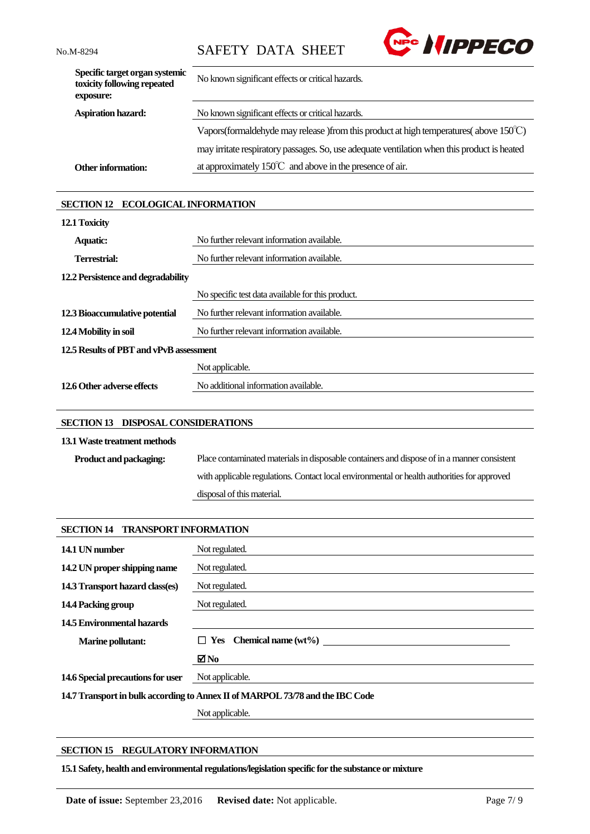

| Specific target organ systemic<br>toxicity following repeated<br>exposure: | No known significant effects or critical hazards.                                                 |
|----------------------------------------------------------------------------|---------------------------------------------------------------------------------------------------|
| <b>Aspiration hazard:</b>                                                  | No known significant effects or critical hazards.                                                 |
|                                                                            | Vapors (formal dehyde may release) from this product at high temperatures (above $150^{\circ}$ C) |
|                                                                            | may irritate respiratory passages. So, use adequate ventilation when this product is heated       |
| <b>Other information:</b>                                                  | at approximately $150^{\circ}$ and above in the presence of air.                                  |

### **SECTION 12 ECOLOGICAL INFORMATION**

| 12.1 Toxicity                           |                                                   |  |
|-----------------------------------------|---------------------------------------------------|--|
| <b>Aquatic:</b>                         | No further relevant information available.        |  |
| Terrestrial:                            | No further relevant information available.        |  |
| 12.2 Persistence and degradability      |                                                   |  |
|                                         | No specific test data available for this product. |  |
| 12.3 Bioaccumulative potential          | No further relevant information available.        |  |
| 12.4 Mobility in soil                   | No further relevant information available.        |  |
| 12.5 Results of PBT and vPvB assessment |                                                   |  |
|                                         | Not applicable.                                   |  |
| 12.6 Other adverse effects              | No additional information available.              |  |

### **SECTION 13 DISPOSAL CONSIDERATIONS**

### **13.1Waste treatment methods**

| <b>Product and packaging:</b> | Place contaminated materials in disposable containers and dispose of in a manner consistent |
|-------------------------------|---------------------------------------------------------------------------------------------|
|                               | with applicable regulations. Contact local environmental or health authorities for approved |
|                               | disposal of this material.                                                                  |

| <b>TRANSPORT INFORMATION</b><br><b>SECTION 14</b>                             |                                |  |
|-------------------------------------------------------------------------------|--------------------------------|--|
| 14.1 UN number                                                                | Not regulated.                 |  |
| 14.2 UN proper shipping name                                                  | Not regulated.                 |  |
| 14.3 Transport hazard class(es)                                               | Not regulated.                 |  |
| 14.4 Packing group                                                            | Not regulated.                 |  |
| 14.5 Environmental hazards                                                    |                                |  |
| <b>Marine pollutant:</b>                                                      | $\Box$ Yes Chemical name (wt%) |  |
|                                                                               | ⊠No                            |  |
| 14.6 Special precautions for user                                             | Not applicable.                |  |
| 14.7 Transport in bulk according to Annex II of MARPOL 73/78 and the IBC Code |                                |  |
|                                                                               | Not applicable.                |  |

## **SECTION 15 REGULATORY INFORMATION**

**15.1 Safety, health and environmental regulations/legislation specific for the substance or mixture**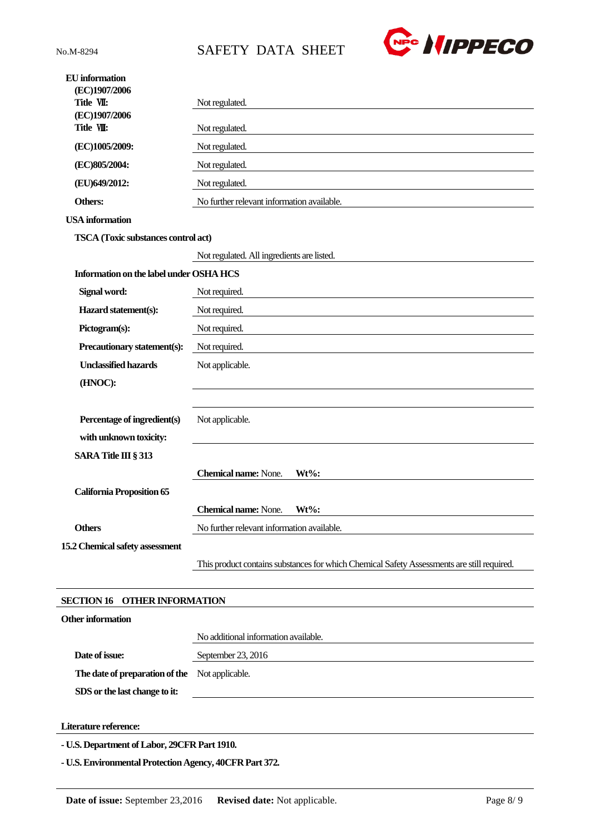



| <b>EU</b> information<br>(EC)1907/2006<br>Title VII: | Not regulated.                                                                             |
|------------------------------------------------------|--------------------------------------------------------------------------------------------|
| (EC)1907/2006<br>Title VII:                          | Not regulated.                                                                             |
| (EC)1005/2009:                                       | Not regulated.                                                                             |
| (EC)805/2004:                                        | Not regulated.                                                                             |
| (EU)649/2012:                                        | Not regulated.                                                                             |
| Others:                                              | No further relevant information available.                                                 |
| <b>USA</b> information                               |                                                                                            |
| TSCA (Toxic substances control act)                  |                                                                                            |
|                                                      | Not regulated. All ingredients are listed.                                                 |
| Information on the label under OSHA HCS              |                                                                                            |
| Signal word:                                         | Not required.                                                                              |
| Hazard statement(s):                                 | Not required.                                                                              |
| Pictogram(s):                                        | Not required.                                                                              |
| Precautionary statement(s):                          | Not required.                                                                              |
| <b>Unclassified hazards</b>                          | Not applicable.                                                                            |
| (HNOC):                                              |                                                                                            |
|                                                      |                                                                                            |
| Percentage of ingredient(s)                          | Not applicable.                                                                            |
| with unknown toxicity:                               |                                                                                            |
| <b>SARA Title III § 313</b>                          |                                                                                            |
|                                                      | <b>Chemical name:</b> None.<br>$Wt\%$ :                                                    |
| <b>California Proposition 65</b>                     |                                                                                            |
|                                                      | <b>Chemical name: None.</b><br>$Wt\%$ :                                                    |
| <b>Others</b>                                        | No further relevant information available.                                                 |
| 15.2 Chemical safety assessment                      |                                                                                            |
|                                                      | This product contains substances for which Chemical Safety Assessments are still required. |
| <b>OTHER INFORMATION</b><br><b>SECTION 16</b>        |                                                                                            |
| <b>Other information</b>                             |                                                                                            |
|                                                      | No additional information available.                                                       |
| Date of issue:                                       | September 23, 2016                                                                         |

**The date of preparation of the**  Not applicable. **SDS or the last change to it:**

**Literature reference:**

 $\overline{\phantom{a}}$ 

**- U.S. Department of Labor, 29CFR Part 1910.**

**- U.S. Environmental Protection Agency, 40CFR Part 372.**